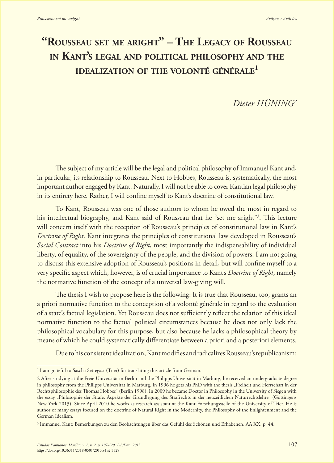# **"ROUSSEAU SET ME ARIGHT" – THE LEGACY OF ROUSSEAU IN KANT'<sup>S</sup> LEGAL AND POLITICAL PHILOSOPHY AND THE IDEALIZATION OF THE VOLONTÉ GÉNÉRALE<sup>1</sup>**

## *Dieter HÜninG<sup>2</sup>*

he subject of my article will be the legal and political philosophy of Immanuel Kant and, in particular, its relationship to Rousseau. Next to Hobbes, Rousseau is, systematically, the most important author engaged by Kant. Naturally, I will not be able to cover Kantian legal philosophy in its entirety here. Rather, I will confine myself to Kant's doctrine of constitutional law.

To Kant, Rousseau was one of those authors to whom he owed the most in regard to his intellectual biography, and Kant said of Rousseau that he "set me aright"<sup>3</sup>. This lecture will concern itself with the reception of Rousseau's principles of constitutional law in Kant's *Doctrine of Right*. Kant integrates the principles of constitutional law developed in Rousseau's *Social Contract* into his *Doctrine of Right*, most importantly the indispensability of individual liberty, of equality, of the sovereignty of the people, and the division of powers. I am not going to discuss this extensive adoption of Rousseau's positions in detail, but will confine myself to a very speciic aspect which, however, is of crucial importance to Kant's *Doctrine of Right*, namely the normative function of the concept of a universal law-giving will.

The thesis I wish to propose here is the following: It is true that Rousseau, too, grants an a priori normative function to the conception of a volonté générale in regard to the evaluation of a state's factual legislation. Yet Rousseau does not suiciently relect the relation of this ideal normative function to the factual political circumstances because he does not only lack the philosophical vocabulary for this purpose, but also because he lacks a philosophical theory by means of which he could systematically diferentiate between a priori and a posteriori elements.

Due to his consistent idealization, Kant modifies and radicalizes Rousseau's republicanism:

<sup>&</sup>lt;sup>1</sup> I am grateful to Sascha Settegast (Trier) for translating this article from German.

<sup>2</sup> After studying at the Freie Universität in Berlin and the Philipps Universität in Marburg, he received an undergraduate degree in philosophy from the Philipps Universität in Marburg. In 1996 he gets his PhD with the thesis "Freiheit und Herrschaft in der Rechtsphilosophie des Thomas Hobbes" (Berlin 1998). In 2009 he became Doctor in Philosophy in the University of Siegen with the essay "Philosophie der Strafe. Aspekte der Grundlegung des Strafrechts in der neuzeitlichen Naturrechtslehre" (Göttingen/ New York 2013). Since April 2010 he works as research assistant at the Kant-Forschungsstelle of the University of Trier. He is author of many essays focused on the doctrine of Natural Right in the Modernity, the Philosophy of the Enlightenment and the German Idealism.

<sup>3</sup> Immanuel Kant: Bemerkungen zu den Beobachtungen über das Gefühl des Schönen und Erhabenen, AA XX, p. 44.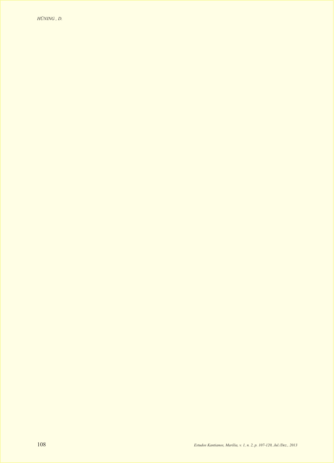*HüNINg , D.*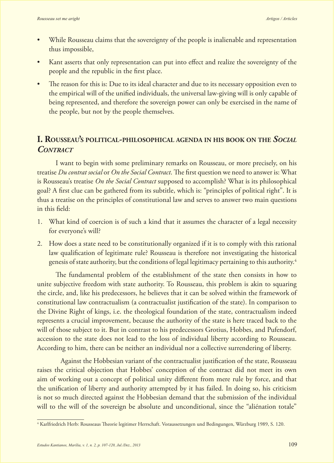- While Rousseau claims that the sovereignty of the people is inalienable and representation thus impossible,
- Kant asserts that only representation can put into effect and realize the sovereignty of the people and the republic in the first place.
- The reason for this is: Due to its ideal character and due to its necessary opposition even to the empirical will of the unified individuals, the universal law-giving will is only capable of being represented, and therefore the sovereign power can only be exercised in the name of the people, but not by the people themselves.

## **I. ROUSSEAU'<sup>S</sup> POLITICAL-PHILOSOPHICAL AGENDA IN HIS BOOK ON THE** *SOCIAL CONTRACT*

I want to begin with some preliminary remarks on Rousseau, or more precisely, on his treatise *Du contrat social* or *On the Social Contract*. The first question we need to answer is: What is Rousseau's treatise *On the Social Contract* supposed to accomplish? What is its philosophical goal? A first clue can be gathered from its subtitle, which is: "principles of political right". It is thus a treatise on the principles of constitutional law and serves to answer two main questions in this field:

- 1. What kind of coercion is of such a kind that it assumes the character of a legal necessity for everyone's will?
- 2. How does a state need to be constitutionally organized if it is to comply with this rational law qualification of legitimate rule? Rousseau is therefore not investigating the historical genesis of state authority, but the conditions of legal legitimacy pertaining to this authority.<sup>4</sup>

The fundamental problem of the establishment of the state then consists in how to unite subjective freedom with state authority. To Rousseau, this problem is akin to squaring the circle, and, like his predecessors, he believes that it can be solved within the framework of constitutional law contractualism (a contractualist justiication of the state). In comparison to the Divine Right of kings, i.e. the theological foundation of the state, contractualism indeed represents a crucial improvement, because the authority of the state is here traced back to the will of those subject to it. But in contrast to his predecessors Grotius, Hobbes, and Pufendorf, accession to the state does not lead to the loss of individual liberty according to Rousseau. According to him, there can be neither an individual nor a collective surrendering of liberty.

Against the Hobbesian variant of the contractualist justification of the state, Rousseau raises the critical objection that Hobbes' conception of the contract did not meet its own aim of working out a concept of political unity diferent from mere rule by force, and that the unification of liberty and authority attempted by it has failed. In doing so, his criticism is not so much directed against the Hobbesian demand that the submission of the individual will to the will of the sovereign be absolute and unconditional, since the "aliénation totale"

<sup>4</sup> Karlfriedrich Herb: Rousseaus heorie legitimer Herrschaft. Voraussetzungen und Bedingungen, Würzburg 1989, S. 120.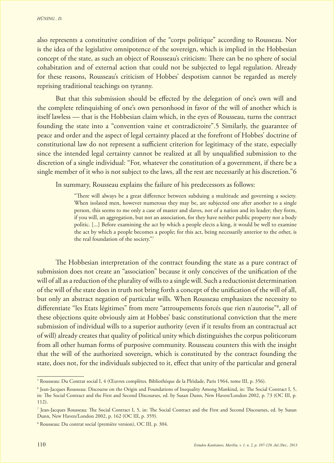also represents a constitutive condition of the "corps politique" according to Rousseau. Nor is the idea of the legislative omnipotence of the sovereign, which is implied in the Hobbesian concept of the state, as such an object of Rousseau's criticism: here can be no sphere of social cohabitation and of external action that could not be subjected to legal regulation. Already for these reasons, Rousseau's criticism of Hobbes' despotism cannot be regarded as merely reprising traditional teachings on tyranny.

But that this submission should be effected by the delegation of one's own will and the complete relinquishing of one's own personhood in favor of the will of another which is itself lawless — that is the Hobbesian claim which, in the eyes of Rousseau, turns the contract founding the state into a "convention vaine et contradictoire".5 Similarly, the guarantee of peace and order and the aspect of legal certainty placed at the forefront of Hobbes' doctrine of constitutional law do not represent a sufficient criterion for legitimacy of the state, especially since the intended legal certainty cannot be realized at all by unqualified submission to the discretion of a single individual: "For, whatever the constitution of a government, if there be a single member of it who is not subject to the laws, all the rest are necessarily at his discretion."6

In summary, Rousseau explains the failure of his predecessors as follows:

"here will always be a great diference between subduing a multitude and governing a society. When isolated men, however numerous they may be, are subjected one after another to a single person, this seems to me only a case of master and slaves, not of a nation and its leader; they form, if you will, an aggregation, but not an association, for they have neither public property nor a body politic. [...] Before examining the act by which a people elects a king, it would be well to examine the act by which a people becomes a people; for this act, being necessarily anterior to the other, is the real foundation of the society."<sup>7</sup>

The Hobbesian interpretation of the contract founding the state as a pure contract of submission does not create an "association" because it only conceives of the unification of the will of all as a reduction of the plurality of wills to a single will. Such a reductionist determination of the will of the state does in truth not bring forth a concept of the uniication of the will of all, but only an abstract negation of particular wills. When Rousseau emphasizes the necessity to differentiate "les Etats légitimes" from mere "attroupements forcés que rien n'autorise"<sup>8</sup>, all of these objections quite obviously aim at Hobbes' basic constitutional conviction that the mere submission of individual wills to a superior authority (even if it results from an contractual act of will) already creates that quality of political unity which distinguishes the corpus politicorum from all other human forms of purposive community. Rousseau counters this with the insight that the will of the authorized sovereign, which is constituted by the contract founding the state, does not, for the individuals subjected to it, effect that unity of the particular and general

<sup>5</sup> Rousseau: Du Contrat social I, 4 (Œuvres complètes. Bibliothèque de la Pléidade, Paris 1964, tome III, p. 356).

<sup>&</sup>lt;sup>6</sup> Jean-Jacques Rousseau: Discourse on the Origin and Foundations of Inequality Among Mankind, in: The Social Contract I, 5, in: he Social Contract and the First and Second Discourses, ed. by Susan Dunn, New Haven/London 2002, p. 73 (OC III, p. 112).

<sup>7</sup> Jean-Jacques Rousseau: he Social Contract I, 5, in: he Social Contract and the First and Second Discourses, ed. by Susan Dunn, New Haven/London 2002, p. 162 (OC III, p. 359).

<sup>8</sup> Rousseau: Du contrat social (première version), OC III, p. 304.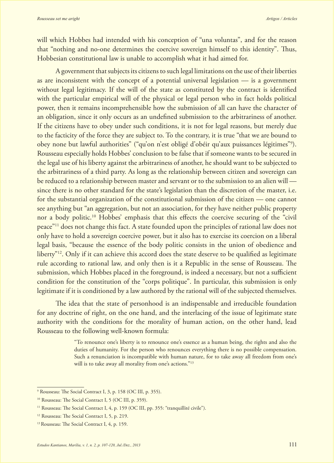will which Hobbes had intended with his conception of "una voluntas", and for the reason that "nothing and no-one determines the coercive sovereign himself to this identity". Thus, Hobbesian constitutional law is unable to accomplish what it had aimed for.

A government that subjects its citizens to such legal limitations on the use of their liberties as are inconsistent with the concept of a potential universal legislation — is a government without legal legitimacy. If the will of the state as constituted by the contract is identified with the particular empirical will of the physical or legal person who in fact holds political power, then it remains incomprehensible how the submission of all can have the character of an obligation, since it only occurs as an undefined submission to the arbitrariness of another. If the citizens have to obey under such conditions, it is not for legal reasons, but merely due to the facticity of the force they are subject to. To the contrary, it is true "that we are bound to obey none but lawful authorities" ("qu'on n'est obligé d'obéir qu'aux puissances légitimes"<sup>9</sup> ). Rousseau especially holds Hobbes' conclusion to be false that if someone wants to be secured in the legal use of his liberty against the arbitrariness of another, he should want to be subjected to the arbitrariness of a third party. As long as the relationship between citizen and sovereign can be reduced to a relationship between master and servant or to the submission to an alien will since there is no other standard for the state's legislation than the discretion of the master, i.e. for the substantial organization of the constitutional submission of the citizen — one cannot see anything but "an aggregation, but not an association, for they have neither public property nor a body politic.<sup>10</sup> Hobbes' emphasis that this effects the coercive securing of the "civil peace"<sup>11</sup> does not change this fact. A state founded upon the principles of rational law does not only have to hold a sovereign coercive power, but it also has to exercise its coercion on a liberal legal basis, "because the essence of the body politic consists in the union of obedience and liberty"<sup>12</sup>. Only if it can achieve this accord does the state deserve to be qualified as legitimate rule according to rational law, and only then is it a Republic in the sense of Rousseau. The submission, which Hobbes placed in the foreground, is indeed a necessary, but not a sufficient condition for the constitution of the "corps politique". In particular, this submission is only legitimate if it is conditioned by a law authored by the rational will of the subjected themselves.

The idea that the state of personhood is an indispensable and irreducible foundation for any doctrine of right, on the one hand, and the interlacing of the issue of legitimate state authority with the conditions for the morality of human action, on the other hand, lead Rousseau to the following well-known formula:

> "To renounce one's liberty is to renounce one's essence as a human being, the rights and also the duties of humanity. For the person who renounces everything there is no possible compensation. Such a renunciation is incompatible with human nature, for to take away all freedom from one's will is to take away all morality from one's actions."<sup>13</sup>

<sup>&</sup>lt;sup>9</sup> Rousseau: The Social Contract I, 3, p. 158 (OC III, p. 355).

<sup>&</sup>lt;sup>10</sup> Rousseau: The Social Contract I, 5 (OC III, p. 359).

<sup>&</sup>lt;sup>11</sup> Rousseau: The Social Contract I, 4, p. 159 (OC III, pp. 355: "tranquillité civile").

<sup>&</sup>lt;sup>12</sup> Rousseau: The Social Contract I, 5, p. 219.

<sup>&</sup>lt;sup>13</sup> Rousseau: The Social Contract I, 4, p. 159.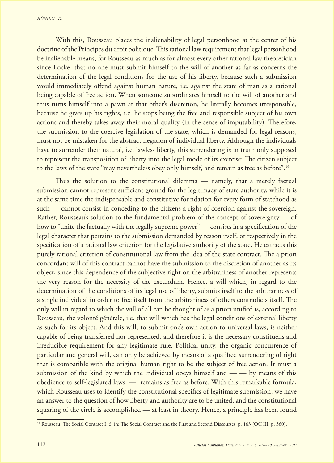*HüNINg , D.* 

With this, Rousseau places the inalienability of legal personhood at the center of his doctrine of the Principes du droit politique. This rational law requirement that legal personhood be inalienable means, for Rousseau as much as for almost every other rational law theoretician since Locke, that no-one must submit himself to the will of another as far as concerns the determination of the legal conditions for the use of his liberty, because such a submission would immediately ofend against human nature, i.e. against the state of man as a rational being capable of free action. When someone subordinates himself to the will of another and thus turns himself into a pawn at that other's discretion, he literally becomes irresponsible, because he gives up his rights, i.e. he stops being the free and responsible subject of his own actions and thereby takes away their moral quality (in the sense of imputability). Therefore, the submission to the coercive legislation of the state, which is demanded for legal reasons, must not be mistaken for the abstract negation of individual liberty. Although the individuals have to surrender their natural, i.e. lawless liberty, this surrendering is in truth only supposed to represent the transposition of liberty into the legal mode of its exercise: The citizen subject to the laws of the state "may nevertheless obey only himself, and remain as free as before".<sup>14</sup>

Thus the solution to the constitutional dilemma — namely, that a merely factual submission cannot represent sufficient ground for the legitimacy of state authority, while it is at the same time the indispensable and constitutive foundation for every form of statehood as such — cannot consist in conceding to the citizens a right of coercion against the sovereign. Rather, Rousseau's solution to the fundamental problem of the concept of sovereignty — of how to "unite the factually with the legally supreme power" — consists in a specification of the legal character that pertains to the submission demanded by reason itself, or respectively in the specification of a rational law criterion for the legislative authority of the state. He extracts this purely rational criterion of constitutional law from the idea of the state contract. he a priori concordant will of this contract cannot have the submission to the discretion of another as its object, since this dependence of the subjective right on the arbitrariness of another represents the very reason for the necessity of the exeundum. Hence, a will which, in regard to the determination of the conditions of its legal use of liberty, submits itself to the arbitrariness of a single individual in order to free itself from the arbitrariness of others contradicts itself. The only will in regard to which the will of all can be thought of as a priori unified is, according to Rousseau, the volonté générale, i.e. that will which has the legal conditions of external liberty as such for its object. And this will, to submit one's own action to universal laws, is neither capable of being transferred nor represented, and therefore it is the necessary constituens and irreducible requirement for any legitimate rule. Political unity, the organic concurrence of particular and general will, can only be achieved by means of a qualified surrendering of right that is compatible with the original human right to be the subject of free action. It must a submission of the kind by which the individual obeys himself and  $\frac{1}{1}$  — by means of this obedience to self-legislated laws — remains as free as before. With this remarkable formula, which Rousseau uses to identify the constitutional specifics of legitimate submission, we have an answer to the question of how liberty and authority are to be united, and the constitutional squaring of the circle is accomplished — at least in theory. Hence, a principle has been found

<sup>&</sup>lt;sup>14</sup> Rousseau: The Social Contract I, 6, in: The Social Contract and the First and Second Discourses, p. 163 (OC III, p. 360).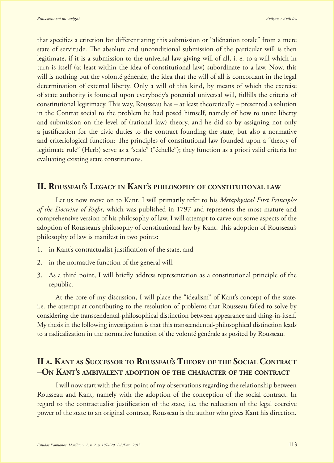that specifies a criterion for differentiating this submission or "aliénation totale" from a mere state of servitude. The absolute and unconditional submission of the particular will is then legitimate, if it is a submission to the universal law-giving will of all, i. e. to a will which in turn is itself (at least within the idea of constitutional law) subordinate to a law. Now, this will is nothing but the volonté générale, the idea that the will of all is concordant in the legal determination of external liberty. Only a will of this kind, by means of which the exercise of state authority is founded upon everybody's potential universal will, fulills the criteria of constitutional legitimacy. his way, Rousseau has – at least theoretically – presented a solution in the Contrat social to the problem he had posed himself, namely of how to unite liberty and submission on the level of (rational law) theory, and he did so by assigning not only a justification for the civic duties to the contract founding the state, but also a normative and criteriological function: The principles of constitutional law founded upon a "theory of legitimate rule" (Herb) serve as a "scale" ("échelle"); they function as a priori valid criteria for evaluating existing state constitutions.

#### **II. ROUSSEAU'S LEGACY IN KANT'S PHILOSOPHY OF CONSTITUTIONAL LAW**

Let us now move on to Kant. I will primarily refer to his *Metaphysical First Principles of the Doctrine of Right*, which was published in 1797 and represents the most mature and comprehensive version of his philosophy of law. I will attempt to carve out some aspects of the adoption of Rousseau's philosophy of constitutional law by Kant. his adoption of Rousseau's philosophy of law is manifest in two points:

- 1. in Kant's contractualist justification of the state, and
- 2. in the normative function of the general will.
- 3. As a third point, I will briely address representation as a constitutional principle of the republic.

At the core of my discussion, I will place the "idealism" of Kant's concept of the state, i.e. the attempt at contributing to the resolution of problems that Rousseau failed to solve by considering the transcendental-philosophical distinction between appearance and thing-in-itself. My thesis in the following investigation is that this transcendental-philosophical distinction leads to a radicalization in the normative function of the volonté générale as posited by Rousseau.

## **II A. KANT AS SUCCESSOR TO ROUSSEAU'S THEORY OF THE SOCIAL CONTRACT –ON KANT'<sup>S</sup> AMBIVALENT ADOPTION OF THE CHARACTER OF THE CONTRACT**

I will now start with the first point of my observations regarding the relationship between Rousseau and Kant, namely with the adoption of the conception of the social contract. In regard to the contractualist justification of the state, i.e. the reduction of the legal coercive power of the state to an original contract, Rousseau is the author who gives Kant his direction.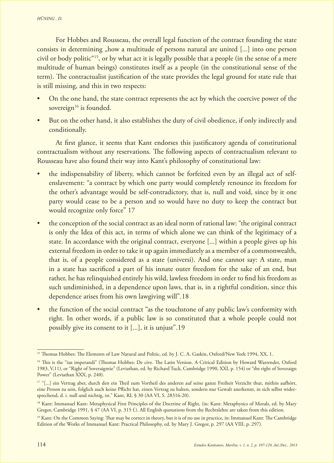For Hobbes and Rousseau, the overall legal function of the contract founding the state consists in determining "how a multitude of persons natural are united [...] into one person civil or body politic"<sup>15</sup>, or by what act it is legally possible that a people (in the sense of a mere multitude of human beings) constitutes itself as a people (in the constitutional sense of the term). The contractualist justification of the state provides the legal ground for state rule that is still missing, and this in two respects:

- On the one hand, the state contract represents the act by which the coercive power of the sovereign<sup>16</sup> is founded.
- But on the other hand, it also establishes the duty of civil obedience, if only indirectly and conditionally.

At first glance, it seems that Kant endorses this justificatory agenda of constitutional contractualism without any reservations. The following aspects of contractualism relevant to Rousseau have also found their way into Kant's philosophy of constitutional law:

- the indispensability of liberty, which cannot be forfeited even by an illegal act of selfenslavement: "a contract by which one party would completely renounce its freedom for the other's advantage would be self-contradictory, that is, null and void, since by it one party would cease to be a person and so would have no duty to keep the contract but would recognize only force" 17
- the conception of the social contract as an ideal norm of rational law: "the original contract is only the Idea of this act, in terms of which alone we can think of the legitimacy of a state. In accordance with the original contract, everyone [...] within a people gives up his external freedom in order to take it up again immediately as a member of a commonwealth, that is, of a people considered as a state (universi). And one cannot say: A state, man in a state has sacriiced a part of his innate outer freedom for the sake of an end, but rather, he has relinquished entirely his wild, lawless freedom in order to find his freedom as such undiminished, in a dependence upon laws, that is, in a rightful condition, since this dependence arises from his own lawgiving will".18
- the function of the social contract "as the touchstone of any public law's conformity with right. In other words, if a public law is so constituted that a whole people could not possibly give its consent to it [...], it is unjust".19

<sup>&</sup>lt;sup>15</sup> Thomas Hobbes: The Elements of Law Natural and Politic, ed. by J. C. A. Gaskin, Oxford/New York 1994, XX, 1.

<sup>&</sup>lt;sup>16</sup> This is the "ius imperandi" (Thomas Hobbes: De cive. The Latin Version. A Critical Edition by Howard Warrender, Oxford 1983, V,11), or "Right of Soveraigntie" (Leviathan, ed. by Richard Tuck, Cambridge 1990, XXI, p. 154) or "the right of Soveraign Power" (Leviathan XXX, p. 240).

<sup>&</sup>lt;sup>17 "</sup>[...] ein Vertrag aber, durch den ein Theil zum Vortheil des anderen auf seine ganze Freiheit Verzicht thut, mithin aufhört, eine Person zu sein, folglich auch keine Pflicht hat, einen Vertrag zu halten, sondern nur Gewalt anerkennt, in sich selbst widersprechend, d. i. null und nichtig, ist." Kant, RL § 30 (AA VI, S. 28316-20).

<sup>&</sup>lt;sup>18</sup> Kant: Immanuel Kant: Metaphysical First Principles of the Doctrine of Right, (in: Kant: Metaphysics of Morals, ed. by Mary Gregor, Cambridge 1991, § 47 (AA VI, p. 315 f.). All English quotations from the Rechtslehre are taken from this edition.

<sup>&</sup>lt;sup>19</sup> Kant: On the Common Saying: That may be correct in theory, but it is of no use in practice, in: Immanuel Kant: The Cambridge Edition of the Works of Immanuel Kant: Practical Philosophy, ed. by Mary J. Gregor, p. 297 (AA VIII, p. 297).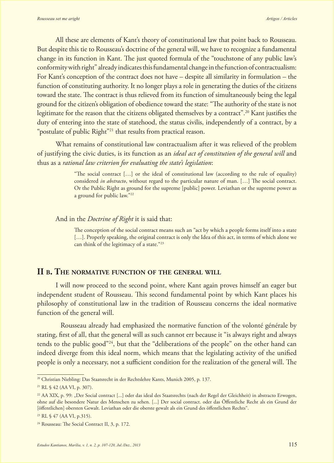All these are elements of Kant's theory of constitutional law that point back to Rousseau. But despite this tie to Rousseau's doctrine of the general will, we have to recognize a fundamental change in its function in Kant. The just quoted formula of the "touchstone of any public law's conformity with right" already indicates this fundamental change in the function of contractualism: For Kant's conception of the contract does not have – despite all similarity in formulation – the function of constituting authority. It no longer plays a role in generating the duties of the citizens toward the state. The contract is thus relieved from its function of simultaneously being the legal ground for the citizen's obligation of obedience toward the state: "he authority of the state is not legitimate for the reason that the citizens obligated themselves by a contract".<sup>20</sup> Kant justifies the duty of entering into the state of statehood, the status civilis, independently of a contract, by a "postulate of public Right"<sup>21</sup> that results from practical reason.

What remains of constitutional law contractualism after it was relieved of the problem of justifying the civic duties, is its function as an *ideal act of constitution of the general will* and thus as a *rational law criterion for evaluating the state's legislation*:

> "he social contract […] or the ideal of constitutional law (according to the rule of equality) considered *in abstracto*, without regard to the particular nature of man. [...] The social contract. Or the Public Right as ground for the supreme [public] power. Leviathan or the supreme power as a ground for public law."<sup>22</sup>

And in the *Doctrine of Right* it is said that:

The conception of the social contract means such an "act by which a people forms itself into a state [...]. Properly speaking, the original contract is only the Idea of this act, in terms of which alone we can think of the legitimacy of a state."<sup>23</sup>

#### **II B. THE NORMATIVE FUNCTION OF THE GENERAL WILL**

I will now proceed to the second point, where Kant again proves himself an eager but independent student of Rousseau. This second fundamental point by which Kant places his philosophy of constitutional law in the tradition of Rousseau concerns the ideal normative function of the general will.

 Rousseau already had emphasized the normative function of the volonté générale by stating, first of all, that the general will as such cannot err because it "is always right and always tends to the public good"<sup>24</sup>, but that the "deliberations of the people" on the other hand can indeed diverge from this ideal norm, which means that the legislating activity of the unified people is only a necessary, not a sufficient condition for the realization of the general will. The

<sup>&</sup>lt;sup>20</sup> Christian Niebling: Das Staatsrecht in der Rechtslehre Kants, Munich 2005, p. 137.

<sup>21</sup> RL § 42 (AA VI, p. 307).

<sup>&</sup>lt;sup>22</sup> AA XIX, p. 99: "Der Social contract [...] oder das ideal des Staatsrechts (nach der Regel der Gleichheit) in abstracto Erwogen, ohne auf die besondere Natur des Menschen zu sehen. [...] Der social contract. oder das öfentliche Recht als ein Grund der [öfentlichen] obersten Gewalt. Leviathan oder die oberste gewalt als ein Grund des öfentlichen Rechts".

<sup>23</sup> RL § 47 (AA VI, p.315).

<sup>&</sup>lt;sup>24</sup> Rousseau: The Social Contract II, 3, p. 172.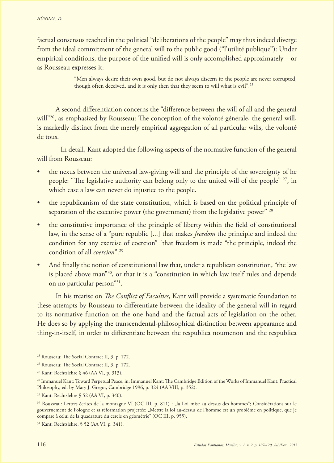factual consensus reached in the political "deliberations of the people" may thus indeed diverge from the ideal commitment of the general will to the public good ("l'utilité publique"): Under empirical conditions, the purpose of the unified will is only accomplished approximately  $-$  or as Rousseau expresses it:

> "Men always desire their own good, but do not always discern it; the people are never corrupted, though often deceived, and it is only then that they seem to will what is evil".<sup>25</sup>

A second diferentiation concerns the "diference between the will of all and the general will"<sup>26</sup>, as emphasized by Rousseau: The conception of the volonté générale, the general will, is markedly distinct from the merely empirical aggregation of all particular wills, the volonté de tous.

 In detail, Kant adopted the following aspects of the normative function of the general will from Rousseau:

- the nexus between the universal law-giving will and the principle of the sovereignty of he people: "The legislative authority can belong only to the united will of the people"  $27$ , in which case a law can never do injustice to the people.
- the republicanism of the state constitution, which is based on the political principle of separation of the executive power (the government) from the legislative power" <sup>28</sup>
- the constitutive importance of the principle of liberty within the field of constitutional law, in the sense of a "pure republic [...] that makes *freedom* the principle and indeed the condition for any exercise of coercion" [that freedom is made "the principle, indeed the condition of all *coercion*".<sup>29</sup>
- And finally the notion of constitutional law that, under a republican constitution, "the law is placed above man"<sup>30</sup>, or that it is a "constitution in which law itself rules and depends on no particular person"<sup>31</sup> .

In his treatise on *he Conlict of Faculties*, Kant will provide a systematic foundation to these attempts by Rousseau to diferentiate between the ideality of the general will in regard to its normative function on the one hand and the factual acts of legislation on the other. He does so by applying the transcendental-philosophical distinction between appearance and thing-in-itself, in order to diferentiate between the respublica noumenon and the respublica

<sup>&</sup>lt;sup>25</sup> Rousseau: The Social Contract II, 3, p. 172.

<sup>&</sup>lt;sup>26</sup> Rousseau: The Social Contract II, 3, p. 172.

<sup>27</sup> Kant: Rechtslehre § 46 (AA VI, p. 313).

<sup>&</sup>lt;sup>28</sup> Immanuel Kant: Toward Perpetual Peace, in: Immanuel Kant: The Cambridge Edition of the Works of Immanuel Kant: Practical Philosophy, ed. by Mary J. Gregor, Cambridge 1996, p. 324 (AA VIII, p. 352).

<sup>29</sup> Kant: Rechtslehre § 52 (AA VI, p. 340).

<sup>&</sup>lt;sup>30</sup> Rousseau: Lettres écrites de la montagne VI (OC III, p. 811) : "la Loi mise au dessus des hommes"; Considérations sur le gouvernement de Pologne et sa réformation projettée: "Mettre la loi au-dessus de l'homme est un problème en politique, que je compare à celui de la quadrature du cercle en géométrie" (OC III, p. 955).

<sup>31</sup> Kant: Rechtslehre, § 52 (AA VI, p. 341).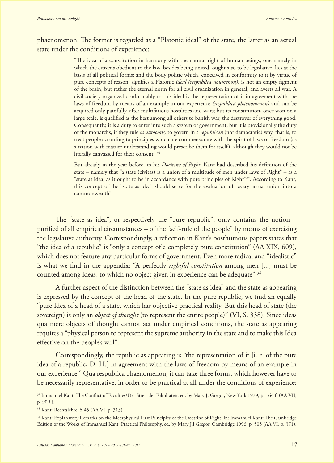phaenomenon. he former is regarded as a "Platonic ideal" of the state, the latter as an actual state under the conditions of experience:

> "he idea of a constitution in harmony with the natural right of human beings, one namely in which the citizens obedient to the law, besides being united, ought also to be legislative, lies at the basis of all political forms; and the body politic which, conceived in conformity to it by virtue of pure concepts of reason, signifies a Platonic *ideal (respublica noumenon)*, is not an empty figment of the brain, but rather the eternal norm for all civil organization in general, and averts all war. A civil society organized conformably to this ideal is the representation of it in agreement with the laws of freedom by means of an example in our experience *(respublica phaenomenon)* and can be acquired only painfully, after multifarious hostilities and wars; but its constitution, once won on a large scale, is qualified as the best among all others to banish war, the destroyer of everything good. Consequently, it is a duty to enter into such a system of government, but it is provisionally the duty of the monarchs, if they rule *as autocrats,* to govern in a *republican* (not democratic) way, that is, to treat people according to principles which are commensurate with the spirit of laws of freedom (as a nation with mature understanding would prescribe them for itself), although they would not be literally canvassed for their consent."<sup>32</sup>

> But already in the year before, in his *Doctrine of Right*, Kant had described his definition of the state – namely that "a state (civitas) is a union of a multitude of men under laws of Right" – as a "state as idea, as it ought to be in accordance with pure principles of Right"<sup>33</sup>. According to Kant, this concept of the "state as idea" should serve for the evaluation of "every actual union into a commonwealth".

The "state as idea", or respectively the "pure republic", only contains the notion – purified of all empirical circumstances – of the "self-rule of the people" by means of exercising the legislative authority. Correspondingly, a relection in Kant's posthumous papers states that "the idea of a republic" is "only a concept of a completely pure constitution" (AA XIX, 609), which does not feature any particular forms of government. Even more radical and "idealistic" is what we ind in the appendix: "A perfectly *rightful constitution* among men [...] must be counted among ideas, to which no object given in experience can be adequate".<sup>34</sup>

A further aspect of the distinction between the "state as idea" and the state as appearing is expressed by the concept of the head of the state. In the pure republic, we find an equally "pure Idea of a head of a state, which has objective practical reality. But this head of state (the sovereign) is only an *object of thought* (to represent the entire people)" (VI, S. 338). Since ideas qua mere objects of thought cannot act under empirical conditions, the state as appearing requires a "physical person to represent the supreme authority in the state and to make this Idea efective on the people's will".

Correspondingly, the republic as appearing is "the representation of it [i. e. of the pure idea of a republic, D. H.] in agreement with the laws of freedom by means of an example in our experience." Qua respublica phaenomenon, it can take three forms, which however have to be necessarily representative, in order to be practical at all under the conditions of experience:

<sup>&</sup>lt;sup>32</sup> Immanuel Kant: The Conflict of Faculties/Der Streit der Fakultäten, ed. by Mary J. Gregor, New York 1979, p. 164 f. (AA VII, p. 90 f.).

<sup>33</sup> Kant: Rechtslehre, § 45 (AA VI, p. 313).

<sup>&</sup>lt;sup>34</sup> Kant: Explanatory Remarks on the Metaphysical First Principles of the Doctrine of Right, in: Immanuel Kant: The Cambridge Edition of the Works of Immanuel Kant: Practical Philosophy, ed. by Mary J.l Gregor, Cambridge 1996, p. 505 (AA VI, p. 371).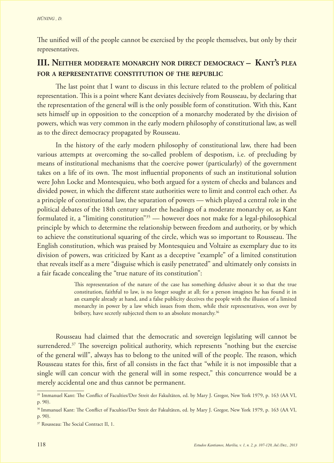The unified will of the people cannot be exercised by the people themselves, but only by their representatives.

## **III. NEITHER MODERATE MONARCHY NOR DIRECT DEMOCRACY – KANT'<sup>S</sup> PLEA FOR A REPRESENTATIVE CONSTITUTION OF THE REPUBLIC**

The last point that I want to discuss in this lecture related to the problem of political representation. This is a point where Kant deviates decisively from Rousseau, by declaring that the representation of the general will is the only possible form of constitution. With this, Kant sets himself up in opposition to the conception of a monarchy moderated by the division of powers, which was very common in the early modern philosophy of constitutional law, as well as to the direct democracy propagated by Rousseau.

In the history of the early modern philosophy of constitutional law, there had been various attempts at overcoming the so-called problem of despotism, i.e. of precluding by means of institutional mechanisms that the coercive power (particularly) of the government takes on a life of its own. The most influential proponents of such an institutional solution were John Locke and Montesquieu, who both argued for a system of checks and balances and divided power, in which the diferent state authorities were to limit and control each other. As a principle of constitutional law, the separation of powers — which played a central role in the political debates of the 18th century under the headings of a moderate monarchy or, as Kant formulated it, a "limiting constitution"<sup>35</sup> — however does not make for a legal-philosophical principle by which to determine the relationship between freedom and authority, or by which to achieve the constitutional squaring of the circle, which was so important to Rousseau. The English constitution, which was praised by Montesquieu and Voltaire as exemplary due to its division of powers, was criticized by Kant as a deceptive "example" of a limited constitution that reveals itself as a mere "disguise which is easily penetrated" and ultimately only consists in a fair facade concealing the "true nature of its constitution":

> his representation of the nature of the case has something delusive about it so that the true constitution, faithful to law, is no longer sought at all; for a person imagines he has found it in an example already at hand, and a false publicity deceives the people with the illusion of a limited monarchy in power by a law which issues from them, while their representatives, won over by bribery, have secretly subjected them to an absolute monarchy.<sup>36</sup>

Rousseau had claimed that the democratic and sovereign legislating will cannot be surrendered.<sup>37</sup> The sovereign political authority, which represents "nothing but the exercise of the general will", always has to belong to the united will of the people. The reason, which Rousseau states for this, first of all consists in the fact that "while it is not impossible that a single will can concur with the general will in some respect," this concurrence would be a merely accidental one and thus cannot be permanent.

<sup>&</sup>lt;sup>35</sup> Immanuel Kant: The Conflict of Faculties/Der Streit der Fakultäten, ed. by Mary J. Gregor, New York 1979, p. 163 (AA VI, p. 90).

<sup>&</sup>lt;sup>36</sup> Immanuel Kant: The Conflict of Faculties/Der Streit der Fakultäten, ed. by Mary J. Gregor, New York 1979, p. 163 (AA VI, p. 90).

<sup>&</sup>lt;sup>37</sup> Rousseau: The Social Contract II, 1.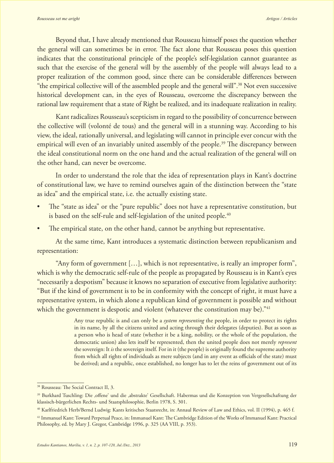Beyond that, I have already mentioned that Rousseau himself poses the question whether the general will can sometimes be in error. The fact alone that Rousseau poses this question indicates that the constitutional principle of the people's self-legislation cannot guarantee as such that the exercise of the general will by the assembly of the people will always lead to a proper realization of the common good, since there can be considerable diferences between "the empirical collective will of the assembled people and the general will".<sup>38</sup> Not even successive historical development can, in the eyes of Rousseau, overcome the discrepancy between the rational law requirement that a state of Right be realized, and its inadequate realization in reality.

Kant radicalizes Rousseau's scepticism in regard to the possibility of concurrence between the collective will (volonté de tous) and the general will in a stunning way. According to his view, the ideal, rationally universal, and legislating will cannot in principle ever concur with the empirical will even of an invariably united assembly of the people. $39$  The discrepancy between the ideal constitutional norm on the one hand and the actual realization of the general will on the other hand, can never be overcome.

In order to understand the role that the idea of representation plays in Kant's doctrine of constitutional law, we have to remind ourselves again of the distinction between the "state as idea" and the empirical state, i.e. the actually existing state.

- The "state as idea" or the "pure republic" does not have a representative constitution, but is based on the self-rule and self-legislation of the united people.<sup>40</sup>
- The empirical state, on the other hand, cannot be anything but representative.

At the same time, Kant introduces a systematic distinction between republicanism and representation:

"Any form of government […], which is not representative, is really an improper form", which is why the democratic self-rule of the people as propagated by Rousseau is in Kant's eyes "necessarily a despotism" because it knows no separation of executive from legislative authority: "But if the kind of government is to be in conformity with the concept of right, it must have a representative system, in which alone a republican kind of government is possible and without which the government is despotic and violent (whatever the constitution may be)."<sup>41</sup>

> Any true republic is and can only be a *system representing* the people, in order to protect its rights in its name, by all the citizens united and acting through their delegates (deputies). But as soon as a person who is head of state (whether it be a king, nobility, or the whole of the population, the democratic union) also lets itself be represented, then the united people does not merely *represent*  the sovereign: It *is* the sovereign itself. For in it (the people) is originally found the supreme authority from which all rights of individuals as mere subjects (and in any event as officials of the state) must be derived; and a republic, once established, no longer has to let the reins of government out of its

<sup>&</sup>lt;sup>38</sup> Rousseau: The Social Contract II, 3.

<sup>&</sup>lt;sup>39</sup> Burkhard Tuschling: Die ,offene' und die ,abstrakte' Gesellschaft. Habermas und die Konzeption von Vergesellschaftung der klassisch-bürgerlichen Rechts- und Staatsphilosophie, Berlin 1978, S. 301.

<sup>40</sup> Karlfriedrich Herb/Bernd Ludwig: Kants kritisches Staatsrecht, in: Annaul Review of Law and Ethics, vol. II (1994), p. 465 f.

<sup>&</sup>lt;sup>41</sup> Immanuel Kant: Toward Perpetual Peace, in: Immanuel Kant: The Cambridge Edition of the Works of Immanuel Kant: Practical Philosophy, ed. by Mary J. Gregor, Cambridge 1996, p. 325 (AA VIII, p. 353).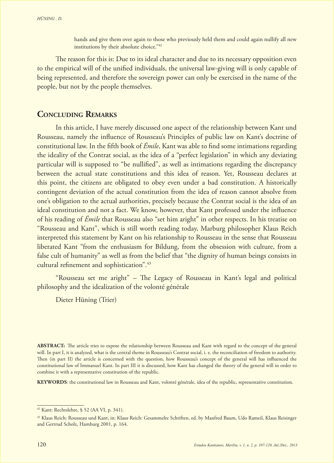hands and give them over again to those who previously held them and could again nullify all new institutions by their absolute choice."<sup>42</sup>

he reason for this is: Due to its ideal character and due to its necessary opposition even to the empirical will of the unified individuals, the universal law-giving will is only capable of being represented, and therefore the sovereign power can only be exercised in the name of the people, but not by the people themselves.

#### **CONCLUDING REMARKS**

In this article, I have merely discussed one aspect of the relationship between Kant und Rousseau, namely the inluence of Rousseau's Principles of public law on Kant's doctrine of constitutional law. In the ifth book of *Émile*, Kant was able to ind some intimations regarding the ideality of the Contrat social, as the idea of a "perfect legislation" in which any deviating particular will is supposed to "be nullified", as well as intimations regarding the discrepancy between the actual state constitutions and this idea of reason. Yet, Rousseau declares at this point, the citizens are obligated to obey even under a bad constitution. A historically contingent deviation of the actual constitution from the idea of reason cannot absolve from one's obligation to the actual authorities, precisely because the Contrat social is the idea of an ideal constitution and not a fact. We know, however, that Kant professed under the inluence of his reading of *Émile* that Rousseau also "set him aright" in other respects. In his treatise on "Rousseau and Kant", which is still worth reading today, Marburg philosopher Klaus Reich interpreted this statement by Kant on his relationship to Rousseau in the sense that Rousseau liberated Kant "from the enthusiasm for Bildung, from the obsession with culture, from a false cult of humanity" as well as from the belief that "the dignity of human beings consists in cultural refinement and sophistication".<sup>43</sup>

"Rousseau set me aright" - The Legacy of Rousseau in Kant's legal and political philosophy and the idealization of the volonté générale

Dieter Hüning (Trier)

ABSTRACT: The article tries to expose the relationship between Rousseau and Kant with regard to the concept of the general will. In part I, it is analyzed, what is the central theme in Rousseau's Contrat social, i. e. the reconciliation of freedom to authority. hen (in part II) the article is concerned with the question, how Rousseau's concept of the general will has inluenced the constitutional law of Immanuel Kant. In part III it is discussed, how Kant has changed the theory of the general will in order to combine it with a representative constitution of the republic.

**KEYWORDS**: the constitutional law in Rousseau and Kant, volonté générale, idea of the republic, representative constitution.

<sup>42</sup> Kant: Rechtslehre, § 52 (AA VI, p. 341).

<sup>43</sup> Klaus Reich: Rousseau und Kant, in: Klaus Reich: Gesammelte Schriften, ed. by Manfred Baum, Udo Rameil, Klaus Reisinger and Gertrud Scholz, Hamburg 2001, p. 164.